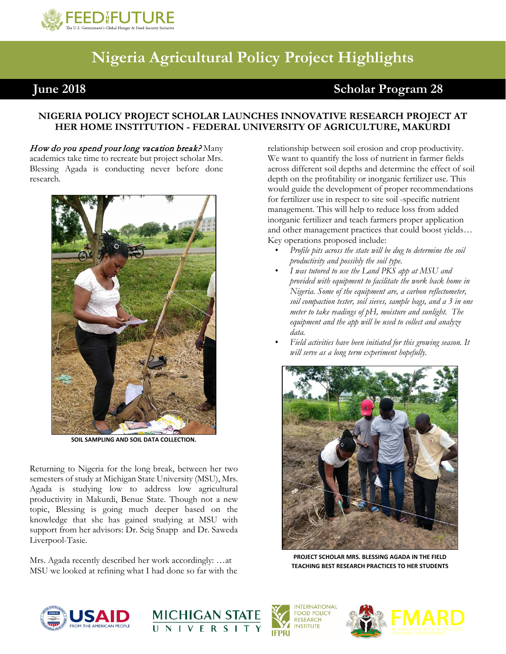

## **Nigeria Agricultural Policy Project Highlights**

## **June 2018 Scholar Program 28**

## **NIGERIA POLICY PROJECT SCHOLAR LAUNCHES INNOVATIVE RESEARCH PROJECT AT HER HOME INSTITUTION - FEDERAL UNIVERSITY OF AGRICULTURE, MAKURDI**

How do you spend your long vacation break? Many academics take time to recreate but project scholar Mrs. Blessing Agada is conducting never before done research*.* 



**SOIL SAMPLING AND SOIL DATA COLLECTION.**

Returning to Nigeria for the long break, between her two semesters of study at Michigan State University (MSU), Mrs. Agada is studying low to address low agricultural productivity in Makurdi, Benue State. Though not a new topic, Blessing is going much deeper based on the knowledge that she has gained studying at MSU with support from her advisors: Dr. Seig Snapp and Dr. Saweda Liverpool-Tasie.

Mrs. Agada recently described her work accordingly: …at MSU we looked at refining what I had done so far with the relationship between soil erosion and crop productivity. We want to quantify the loss of nutrient in farmer fields across different soil depths and determine the effect of soil depth on the profitability or inorganic fertilizer use. This would guide the development of proper recommendations for fertilizer use in respect to site soil -specific nutrient management. This will help to reduce loss from added inorganic fertilizer and teach farmers proper application and other management practices that could boost yields… Key operations proposed include:

- *Profile pits across the state will be dug to determine the soil productivity and possibly the soil type.*
- *I was tutored to use the Land PKS app at MSU and provided with equipment to facilitate the work back home in Nigeria. Some of the equipment are, a carbon reflectometer, soil compaction tester, soil sieves, sample bags, and a 3 in one meter to take readings of pH, moisture and sunlight. The equipment and the app will be used to collect and analyze data.*
- *Field activities have been initiated for this growing season. It will serve as a long term experiment hopefully.*



**PROJECT SCHOLAR MRS. BLESSING AGADA IN THE FIELD TEACHING BEST RESEARCH PRACTICES TO HER STUDENTS**